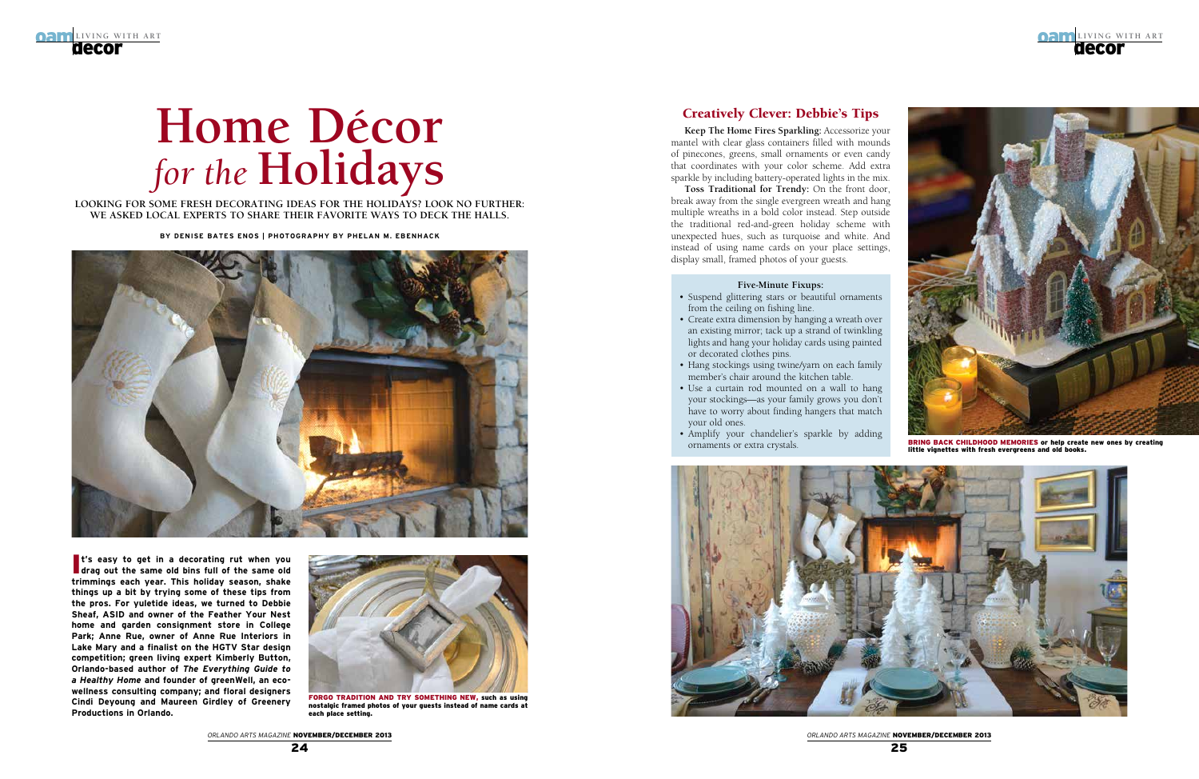



*Orlando ARts MAGAZINE* November/December 2013

# **Home Décor** *for the* **Holidays**

**Looking for some fresh decorating ideas for the holidays? Look no further: We asked local experts to share their faVorite ways to deck the halls.**

**By Denise Bates Enos | photography by phelan m. ebenhack**



**t's easy to get in a decorating rut when you drag out the same old bins full of the same old drag out the same old bins full of the same old trimmings each year. This holiday season, shake things up a bit by trying some of these tips from the pros. For yuletide ideas, we turned to Debbie Sheaf, ASID and owner of the Feather Your Nest home and garden consignment store in College Park; Anne Rue, owner of Anne Rue Interiors in Lake Mary and a finalist on the HGTV Star design competition; green living expert Kimberly Button, Orlando-based author of** *The Everything Guide to a Healthy Home* **and founder of greenWell, an ecowellness consulting company; and floral designers Cindi Deyoung and Maureen Girdley of Greenery Productions in Orlando.**



FORGO TRADITION AND TRY SOMETHING NEW, such as using nostalgic framed photos of your guests instead of name cards at each place setting.

#### Creatively Clever: Debbie's Tips

**Keep The Home Fires Sparkling:** Accessorize your mantel with clear glass containers filled with mounds of pinecones, greens, small ornaments or even candy that coordinates with your color scheme. Add extra sparkle by including battery-operated lights in the mix.

- Suspend glittering stars or beautiful ornaments from the ceiling on fishing line.
- Create extra dimension by hanging a wreath over an existing mirror; tack up a strand of twinkling lights and hang your holiday cards using painted or decorated clothes pins.
- Hang stockings using twine/yarn on each family member's chair around the kitchen table.
- Use a curtain rod mounted on a wall to hang your stockings—as your family grows you don't have to worry about finding hangers that match your old ones.
- • Amplify your chandelier's sparkle by adding ornaments or extra crystals.



**Toss Traditional for Trendy:** On the front door, break away from the single evergreen wreath and hang multiple wreaths in a bold color instead. Step outside the traditional red-and-green holiday scheme with unexpected hues, such as turquoise and white. And instead of using name cards on your place settings, display small, framed photos of your guests.



bring back childhood memories or help create new ones by creating little vignettes with fresh evergreens and old books.

#### **Five-Minute Fixups:**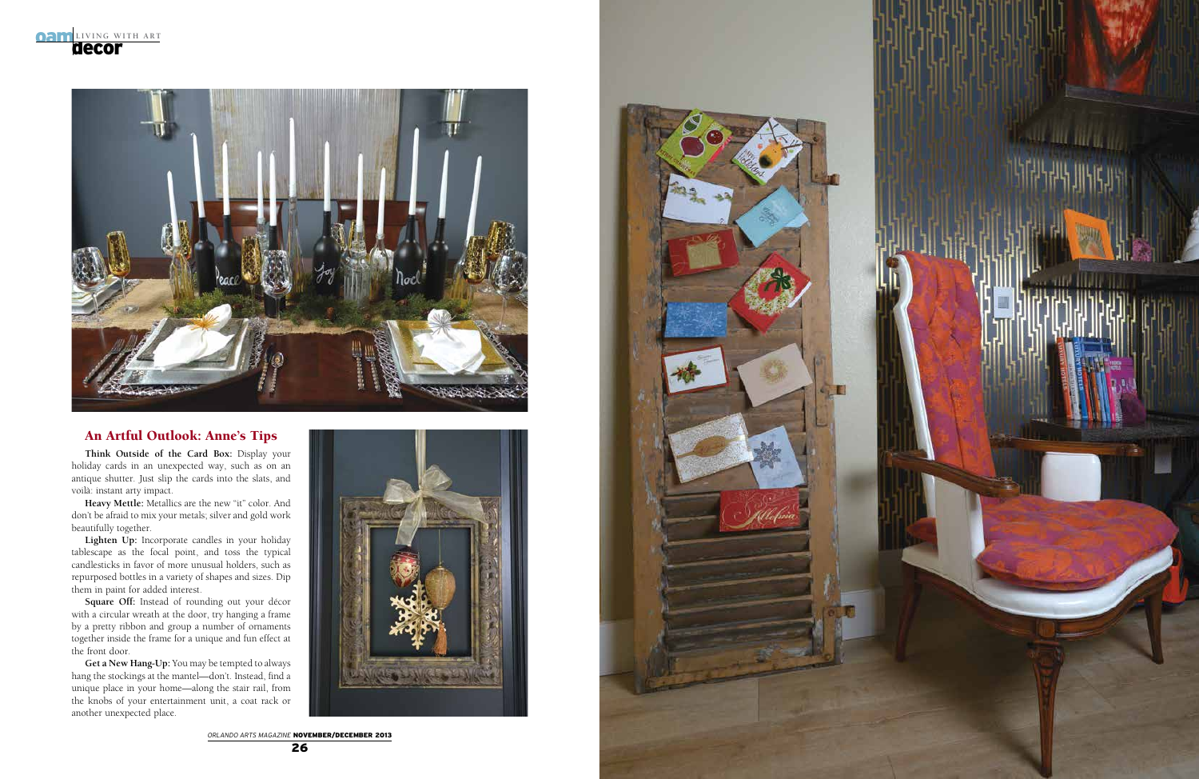

**ORLANDO ARTS MAGAZINE NOVEMBER/DECEMBER 2013** 



### An Artful Outlook: Anne's Tips

**Think Outside of the Card Box:** Display your holiday cards in an unexpected way, such as on an antique shutter. Just slip the cards into the slats, and voilà: instant arty impact.

**Heavy Mettle:** Metallics are the new "it" color. And don't be afraid to mix your metals; silver and gold work beautifully together.

**Lighten Up:** Incorporate candles in your holiday tablescape as the focal point, and toss the typical candlesticks in favor of more unusual holders, such as repurposed bottles in a variety of shapes and sizes. Dip them in paint for added interest.

**Square Off:** Instead of rounding out your décor with a circular wreath at the door, try hanging a frame by a pretty ribbon and group a number of ornaments together inside the frame for a unique and fun effect at the front door.

**Get a New Hang-Up:** You may be tempted to always hang the stockings at the mantel—don't. Instead, find a unique place in your home—along the stair rail, from the knobs of your entertainment unit, a coat rack or another unexpected place.